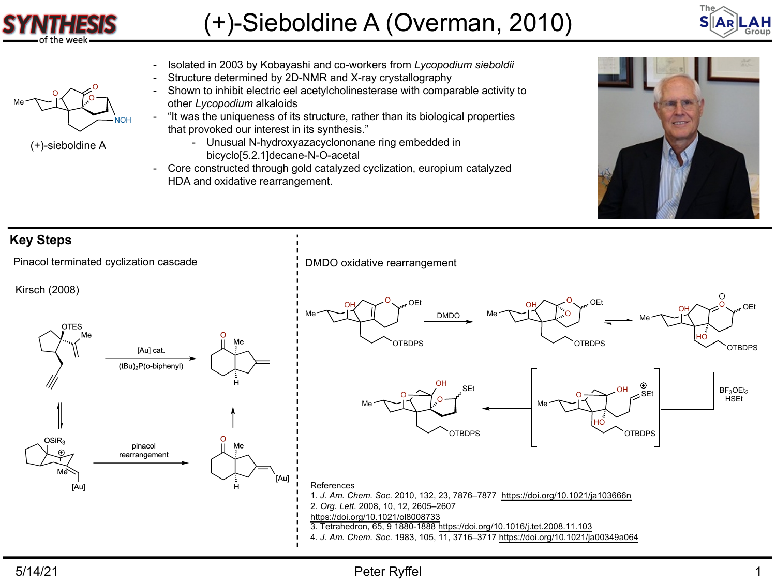

O Me $\sim$ I $\leq$ 

(+)-sieboldine A

NOH

O

## (+)-Sieboldine A (Overman, 2010)



- Isolated in 2003 by Kobayashi and co-workers from *Lycopodium sieboldii*
	- Structure determined by 2D-NMR and X-ray crystallography
	- Shown to inhibit electric eel acetylcholinesterase with comparable activity to other *Lycopodium* alkaloids
- "It was the uniqueness of its structure, rather than its biological properties that provoked our interest in its synthesis."
	- Unusual N-hydroxyazacyclononane ring embedded in bicyclo[5.2.1]decane-N-O-acetal
- Core constructed through gold catalyzed cyclization, europium catalyzed HDA and oxidative rearrangement.



## **Key Steps** Pinacol terminated cyclization cascade <br>
PMDO oxidative rearrangement Kirsch (2008)  $\overline{O}$  OEt  $\circ$  OEt OH OH **OEt** OH Me DMDO Me O Me **OTES** HO Me **OTBDPS** OTBDPS OTBDPS [Au] cat. (tBu)<sub>2</sub>P(o-biphenyl) OH SEt  $\frac{\odot}{\mathsf{SEt}}$  $BF<sub>3</sub>OEt<sub>2</sub>$ O O **HSEt** Me  $\sim$   $\sim$   $\sim$   $\sim$   $\sim$   $\sim$   $\sim$ Me HO **OTBDPS** OTBDPS  $OSiR_3$ pinacol rearrangement Aul [Au] References 1. *J. Am. Chem. Soc.* 2010, 132, 23, 7876–7877 <https://doi.org/10.1021/ja103666n> 2. *Org. Lett.* 2008, 10, 12, 2605–2607 <https://doi.org/10.1021/ol8008733> 3. Tetrahedron, 65, 9 1880-1888 <https://doi.org/10.1016/j.tet.2008.11.103> 4. *J. Am. Chem. Soc.* 1983, 105, 11, 3716–3717<https://doi.org/10.1021/ja00349a064>

## 5/14/21 Peter Ryffel 1